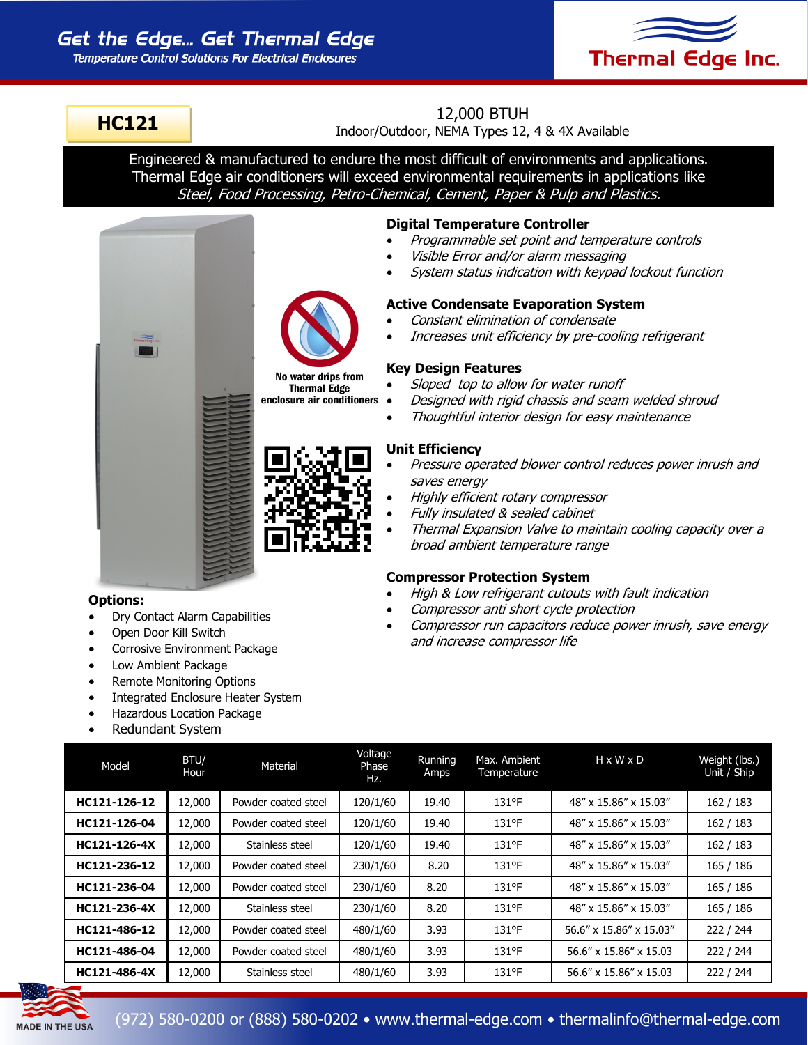# Get the Edge... Get Thermal Edge

**Temperature Control Solutions For Electrical Enclosures** 



## **HC121**

## 12,000 BTUH

Indoor/Outdoor, NEMA Types 12, 4 & 4X Available

Engineered & manufactured to endure the most difficult of environments and applications. Thermal Edge air conditioners will exceed environmental requirements in applications like Steel, Food Processing, Petro-Chemical, Cement, Paper & Pulp and Plastics.





No water drips from **Thermal Edge** enclosure air conditioners

### Visible Error and/or alarm messaging

**Digital Temperature Controller**

System status indication with keypad lockout function

Programmable set point and temperature controls

#### **Active Condensate Evaporation System**

- Constant elimination of condensate
- Increases unit efficiency by pre-cooling refrigerant

#### **Key Design Features**

- Sloped top to allow for water runoff
- Designed with rigid chassis and seam welded shroud
	- Thoughtful interior design for easy maintenance

#### **Unit Efficiency**

- Pressure operated blower control reduces power inrush and saves energy
- Highly efficient rotary compressor
- Fully insulated & sealed cabinet
- Thermal Expansion Valve to maintain cooling capacity over a broad ambient temperature range

#### **Compressor Protection System**

- High & Low refrigerant cutouts with fault indication
- Compressor anti short cycle protection
- Compressor run capacitors reduce power inrush, save energy and increase compressor life

#### **Options:**

- Dry Contact Alarm Capabilities
- Open Door Kill Switch
- Corrosive Environment Package
- Low Ambient Package
- Remote Monitoring Options
- Integrated Enclosure Heater System
- Hazardous Location Package
- Redundant System

| Model        | BTU/<br>Hour | Material            | Voltage<br>Phase<br>Hz. | Running<br>Amps | Max. Ambient<br>Temperature | $H \times W \times D$   | Weight (lbs.)<br>Unit / Ship |
|--------------|--------------|---------------------|-------------------------|-----------------|-----------------------------|-------------------------|------------------------------|
| HC121-126-12 | 12,000       | Powder coated steel | 120/1/60                | 19.40           | 131°F                       | 48" x 15.86" x 15.03"   | 162 / 183                    |
| HC121-126-04 | 12,000       | Powder coated steel | 120/1/60                | 19.40           | 131°F                       | 48" x 15.86" x 15.03"   | 162 / 183                    |
| HC121-126-4X | 12,000       | Stainless steel     | 120/1/60                | 19.40           | 131°F                       | 48" x 15.86" x 15.03"   | 162 / 183                    |
| HC121-236-12 | 12,000       | Powder coated steel | 230/1/60                | 8.20            | 131°F                       | 48" x 15.86" x 15.03"   | 165 / 186                    |
| HC121-236-04 | 12,000       | Powder coated steel | 230/1/60                | 8.20            | 131°F                       | 48" x 15.86" x 15.03"   | 165 / 186                    |
| HC121-236-4X | 12,000       | Stainless steel     | 230/1/60                | 8.20            | $131$ °F                    | 48" x 15.86" x 15.03"   | 165 / 186                    |
| HC121-486-12 | 12,000       | Powder coated steel | 480/1/60                | 3.93            | $131$ °F                    | 56.6" x 15.86" x 15.03" | 222 / 244                    |
| HC121-486-04 | 12,000       | Powder coated steel | 480/1/60                | 3.93            | $131$ °F                    | 56.6" x 15.86" x 15.03  | 222 / 244                    |
| HC121-486-4X | 12,000       | Stainless steel     | 480/1/60                | 3.93            | 131°F                       | 56.6" x 15.86" x 15.03  | 222 / 244                    |